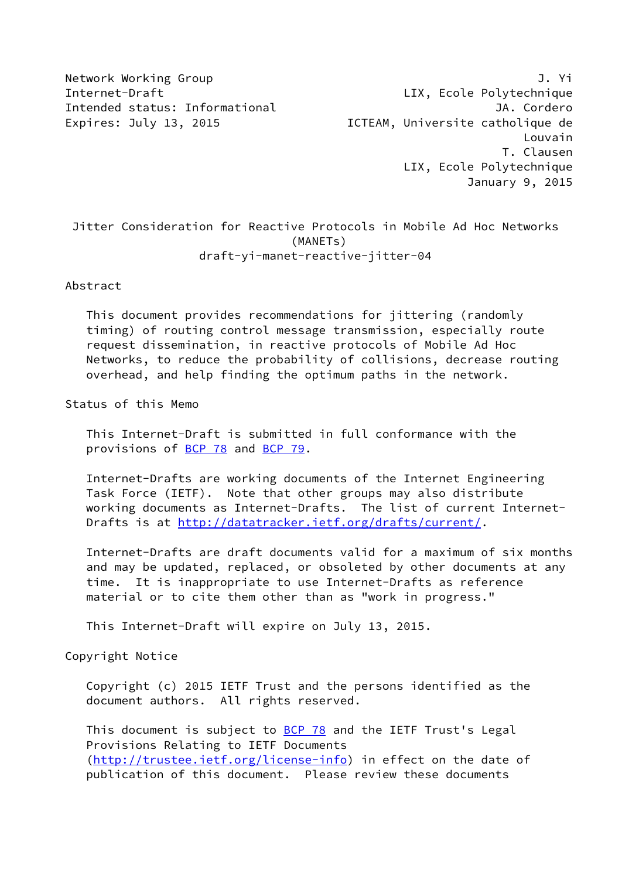Network Working Group 3. The Second Second Second Second Second Second Second Second Second Second Second Second Second Second Second Second Second Second Second Second Second Second Second Second Second Second Second Seco Internet-Draft LIX, Ecole Polytechnique Intended status: Informational intensive and the UA. Cordero Expires: July 13, 2015 **ICTEAM, Universite catholique de**  Louvain T. Clausen LIX, Ecole Polytechnique January 9, 2015

 Jitter Consideration for Reactive Protocols in Mobile Ad Hoc Networks (MANETs) draft-yi-manet-reactive-jitter-04

Abstract

 This document provides recommendations for jittering (randomly timing) of routing control message transmission, especially route request dissemination, in reactive protocols of Mobile Ad Hoc Networks, to reduce the probability of collisions, decrease routing overhead, and help finding the optimum paths in the network.

Status of this Memo

 This Internet-Draft is submitted in full conformance with the provisions of [BCP 78](https://datatracker.ietf.org/doc/pdf/bcp78) and [BCP 79](https://datatracker.ietf.org/doc/pdf/bcp79).

 Internet-Drafts are working documents of the Internet Engineering Task Force (IETF). Note that other groups may also distribute working documents as Internet-Drafts. The list of current Internet- Drafts is at<http://datatracker.ietf.org/drafts/current/>.

 Internet-Drafts are draft documents valid for a maximum of six months and may be updated, replaced, or obsoleted by other documents at any time. It is inappropriate to use Internet-Drafts as reference material or to cite them other than as "work in progress."

This Internet-Draft will expire on July 13, 2015.

Copyright Notice

 Copyright (c) 2015 IETF Trust and the persons identified as the document authors. All rights reserved.

This document is subject to **[BCP 78](https://datatracker.ietf.org/doc/pdf/bcp78)** and the IETF Trust's Legal Provisions Relating to IETF Documents [\(http://trustee.ietf.org/license-info](http://trustee.ietf.org/license-info)) in effect on the date of publication of this document. Please review these documents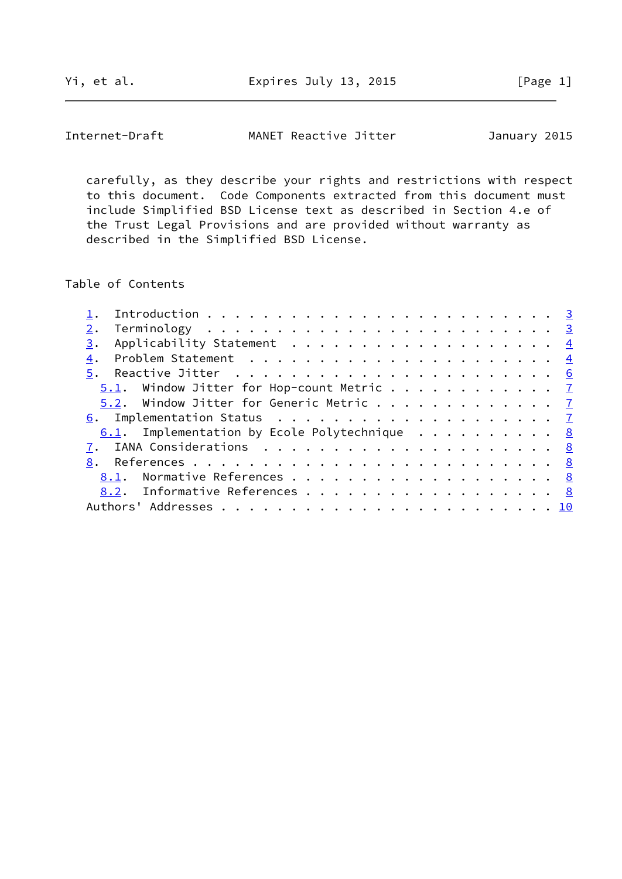Yi, et al. Expires July 13, 2015 [Page 1]

Internet-Draft MANET Reactive Jitter January 2015

 carefully, as they describe your rights and restrictions with respect to this document. Code Components extracted from this document must include Simplified BSD License text as described in Section 4.e of the Trust Legal Provisions and are provided without warranty as described in the Simplified BSD License.

Table of Contents

| 3.                                                       |  |
|----------------------------------------------------------|--|
| 4.                                                       |  |
|                                                          |  |
| $\underline{5.1}$ . Window Jitter for Hop-count Metric 7 |  |
| 5.2. Window Jitter for Generic Metric $\frac{7}{2}$      |  |
|                                                          |  |
| 6.1. Implementation by Ecole Polytechnique 8             |  |
|                                                          |  |
|                                                          |  |
| 8.1. Normative References 8                              |  |
| 8.2. Informative References 8                            |  |
|                                                          |  |
|                                                          |  |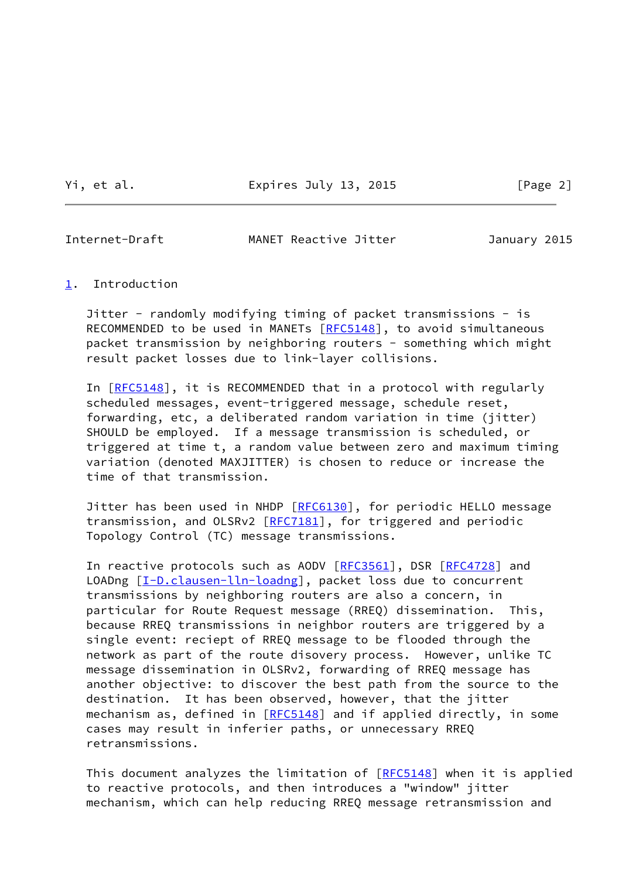Yi, et al. Expires July 13, 2015 [Page 2]

<span id="page-2-1"></span>

Internet-Draft **MANET Reactive Jitter** January 2015

<span id="page-2-0"></span>[1](#page-2-0). Introduction

 Jitter - randomly modifying timing of packet transmissions - is RECOMMENDED to be used in MANETs [\[RFC5148](https://datatracker.ietf.org/doc/pdf/rfc5148)], to avoid simultaneous packet transmission by neighboring routers - something which might result packet losses due to link-layer collisions.

In [[RFC5148\]](https://datatracker.ietf.org/doc/pdf/rfc5148), it is RECOMMENDED that in a protocol with regularly scheduled messages, event-triggered message, schedule reset, forwarding, etc, a deliberated random variation in time (jitter) SHOULD be employed. If a message transmission is scheduled, or triggered at time t, a random value between zero and maximum timing variation (denoted MAXJITTER) is chosen to reduce or increase the time of that transmission.

Jitter has been used in NHDP [\[RFC6130](https://datatracker.ietf.org/doc/pdf/rfc6130)], for periodic HELLO message transmission, and OLSRv2 [\[RFC7181](https://datatracker.ietf.org/doc/pdf/rfc7181)], for triggered and periodic Topology Control (TC) message transmissions.

In reactive protocols such as AODV [[RFC3561\]](https://datatracker.ietf.org/doc/pdf/rfc3561), DSR [[RFC4728](https://datatracker.ietf.org/doc/pdf/rfc4728)] and LOADng [\[I-D.clausen-lln-loadng](#page-8-5)], packet loss due to concurrent transmissions by neighboring routers are also a concern, in particular for Route Request message (RREQ) dissemination. This, because RREQ transmissions in neighbor routers are triggered by a single event: reciept of RREQ message to be flooded through the network as part of the route disovery process. However, unlike TC message dissemination in OLSRv2, forwarding of RREQ message has another objective: to discover the best path from the source to the destination. It has been observed, however, that the jitter mechanism as, defined in [\[RFC5148](https://datatracker.ietf.org/doc/pdf/rfc5148)] and if applied directly, in some cases may result in inferier paths, or unnecessary RREQ retransmissions.

This document analyzes the limitation of [\[RFC5148](https://datatracker.ietf.org/doc/pdf/rfc5148)] when it is applied to reactive protocols, and then introduces a "window" jitter mechanism, which can help reducing RREQ message retransmission and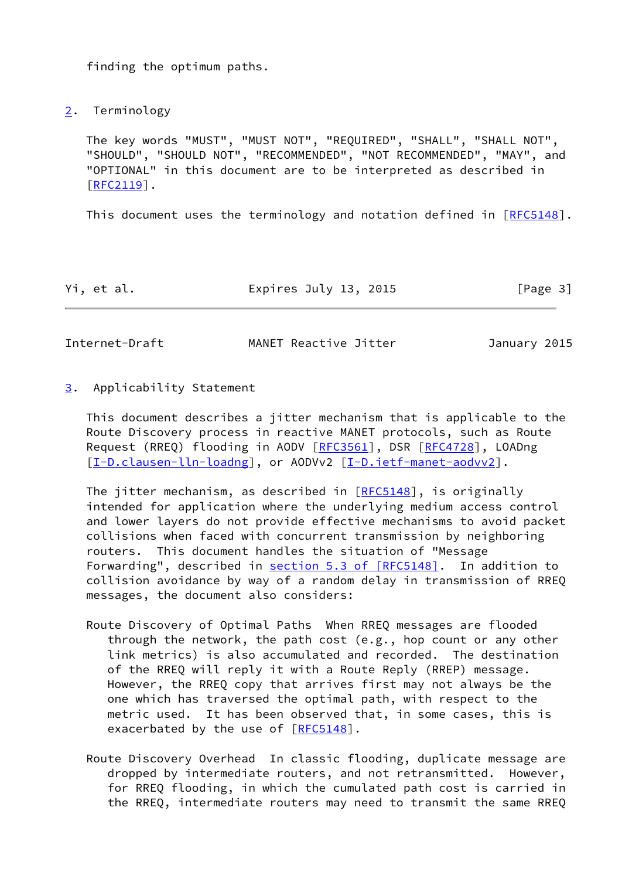finding the optimum paths.

<span id="page-3-0"></span>[2](#page-3-0). Terminology

 The key words "MUST", "MUST NOT", "REQUIRED", "SHALL", "SHALL NOT", "SHOULD", "SHOULD NOT", "RECOMMENDED", "NOT RECOMMENDED", "MAY", and "OPTIONAL" in this document are to be interpreted as described in [\[RFC2119](https://datatracker.ietf.org/doc/pdf/rfc2119)].

This document uses the terminology and notation defined in [[RFC5148\]](https://datatracker.ietf.org/doc/pdf/rfc5148).

| Yi, et al. | Expires July 13, 2015 | [Page 3] |
|------------|-----------------------|----------|
|------------|-----------------------|----------|

<span id="page-3-2"></span>Internet-Draft MANET Reactive Jitter January 2015

<span id="page-3-1"></span>[3](#page-3-1). Applicability Statement

 This document describes a jitter mechanism that is applicable to the Route Discovery process in reactive MANET protocols, such as Route Request (RREQ) flooding in AODV [\[RFC3561](https://datatracker.ietf.org/doc/pdf/rfc3561)], DSR [\[RFC4728](https://datatracker.ietf.org/doc/pdf/rfc4728)], LOADng [\[I-D.clausen-lln-loadng](#page-8-5)], or AODVv2 [\[I-D.ietf-manet-aodvv2](#page-9-0)].

The jitter mechanism, as described in [[RFC5148](https://datatracker.ietf.org/doc/pdf/rfc5148)], is originally intended for application where the underlying medium access control and lower layers do not provide effective mechanisms to avoid packet collisions when faced with concurrent transmission by neighboring routers. This document handles the situation of "Message Forwarding", described in section [5.3 of \[RFC5148\]](https://datatracker.ietf.org/doc/pdf/rfc5148#section-5.3). In addition to collision avoidance by way of a random delay in transmission of RREQ messages, the document also considers:

- Route Discovery of Optimal Paths When RREQ messages are flooded through the network, the path cost (e.g., hop count or any other link metrics) is also accumulated and recorded. The destination of the RREQ will reply it with a Route Reply (RREP) message. However, the RREQ copy that arrives first may not always be the one which has traversed the optimal path, with respect to the metric used. It has been observed that, in some cases, this is exacerbated by the use of [\[RFC5148](https://datatracker.ietf.org/doc/pdf/rfc5148)].
- Route Discovery Overhead In classic flooding, duplicate message are dropped by intermediate routers, and not retransmitted. However, for RREQ flooding, in which the cumulated path cost is carried in the RREQ, intermediate routers may need to transmit the same RREQ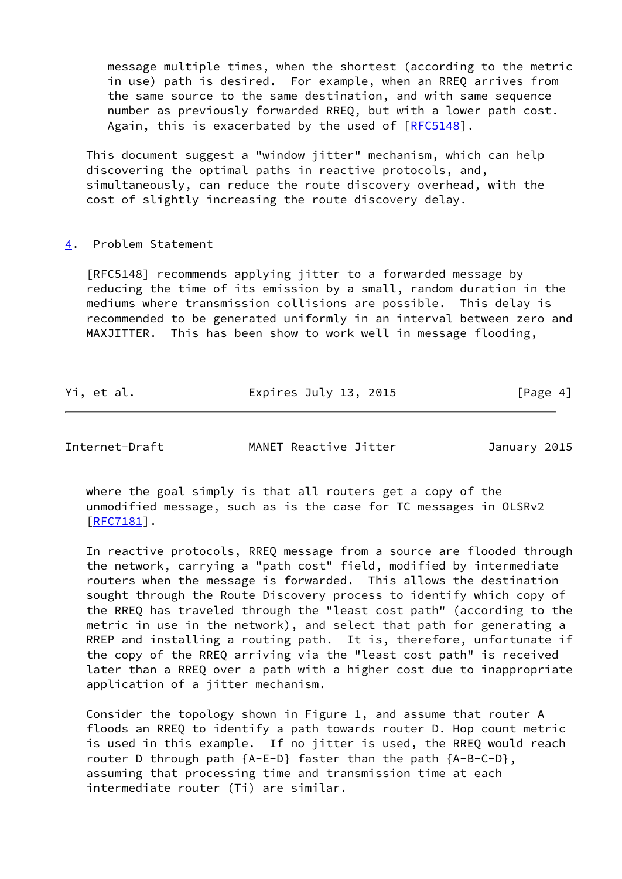message multiple times, when the shortest (according to the metric in use) path is desired. For example, when an RREQ arrives from the same source to the same destination, and with same sequence number as previously forwarded RREQ, but with a lower path cost. Again, this is exacerbated by the used of [\[RFC5148](https://datatracker.ietf.org/doc/pdf/rfc5148)].

 This document suggest a "window jitter" mechanism, which can help discovering the optimal paths in reactive protocols, and, simultaneously, can reduce the route discovery overhead, with the cost of slightly increasing the route discovery delay.

## <span id="page-4-0"></span>[4](#page-4-0). Problem Statement

 [RFC5148] recommends applying jitter to a forwarded message by reducing the time of its emission by a small, random duration in the mediums where transmission collisions are possible. This delay is recommended to be generated uniformly in an interval between zero and MAXJITTER. This has been show to work well in message flooding,

| Yi, et al. | Expires July 13, 2015 | [Page 4] |
|------------|-----------------------|----------|
|            |                       |          |

Internet-Draft MANET Reactive Jitter January 2015

 where the goal simply is that all routers get a copy of the unmodified message, such as is the case for TC messages in OLSRv2 [\[RFC7181](https://datatracker.ietf.org/doc/pdf/rfc7181)].

 In reactive protocols, RREQ message from a source are flooded through the network, carrying a "path cost" field, modified by intermediate routers when the message is forwarded. This allows the destination sought through the Route Discovery process to identify which copy of the RREQ has traveled through the "least cost path" (according to the metric in use in the network), and select that path for generating a RREP and installing a routing path. It is, therefore, unfortunate if the copy of the RREQ arriving via the "least cost path" is received later than a RREQ over a path with a higher cost due to inappropriate application of a jitter mechanism.

 Consider the topology shown in Figure 1, and assume that router A floods an RREQ to identify a path towards router D. Hop count metric is used in this example. If no jitter is used, the RREQ would reach router D through path  ${A-E-D}$  faster than the path  ${A-B-C-D}$ , assuming that processing time and transmission time at each intermediate router (Ti) are similar.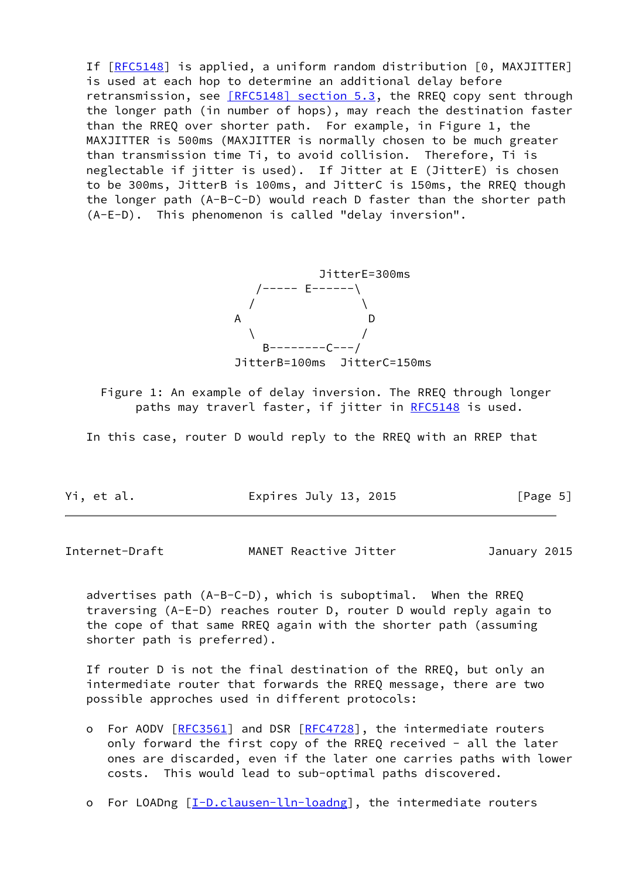If [[RFC5148\]](https://datatracker.ietf.org/doc/pdf/rfc5148) is applied, a uniform random distribution [0, MAXJITTER] is used at each hop to determine an additional delay before retransmission, see [\[RFC5148\] section](https://datatracker.ietf.org/doc/pdf/rfc5148#section-5.3) 5.3, the RREQ copy sent through the longer path (in number of hops), may reach the destination faster than the RREQ over shorter path. For example, in Figure 1, the MAXJITTER is 500ms (MAXJITTER is normally chosen to be much greater than transmission time Ti, to avoid collision. Therefore, Ti is neglectable if jitter is used). If Jitter at E (JitterE) is chosen to be 300ms, JitterB is 100ms, and JitterC is 150ms, the RREQ though the longer path (A-B-C-D) would reach D faster than the shorter path (A-E-D). This phenomenon is called "delay inversion".



 Figure 1: An example of delay inversion. The RREQ through longer paths may traverl faster, if jitter in [RFC5148](https://datatracker.ietf.org/doc/pdf/rfc5148) is used.

In this case, router D would reply to the RREQ with an RREP that

Yi, et al. **Expires July 13, 2015** [Page 5]

<span id="page-5-0"></span>Internet-Draft **MANET Reactive Jitter** January 2015

 advertises path (A-B-C-D), which is suboptimal. When the RREQ traversing (A-E-D) reaches router D, router D would reply again to the cope of that same RREQ again with the shorter path (assuming shorter path is preferred).

 If router D is not the final destination of the RREQ, but only an intermediate router that forwards the RREQ message, there are two possible approches used in different protocols:

 o For AODV [\[RFC3561](https://datatracker.ietf.org/doc/pdf/rfc3561)] and DSR [[RFC4728](https://datatracker.ietf.org/doc/pdf/rfc4728)], the intermediate routers only forward the first copy of the RREQ received - all the later ones are discarded, even if the later one carries paths with lower costs. This would lead to sub-optimal paths discovered.

o For LOADng [[I-D.clausen-lln-loadng](#page-8-5)], the intermediate routers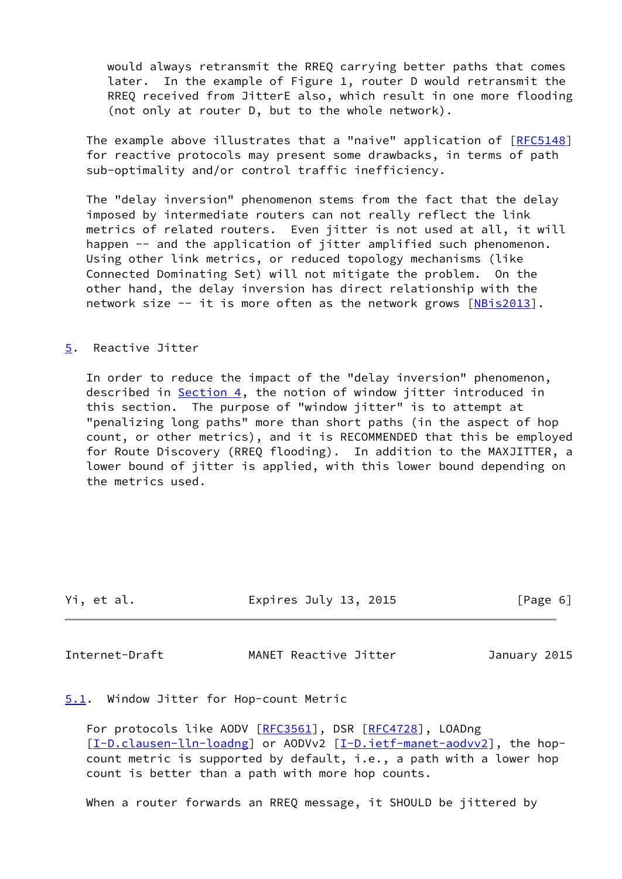would always retransmit the RREQ carrying better paths that comes later. In the example of Figure 1, router D would retransmit the RREQ received from JitterE also, which result in one more flooding (not only at router D, but to the whole network).

The example above illustrates that a "naive" application of [\[RFC5148](https://datatracker.ietf.org/doc/pdf/rfc5148)] for reactive protocols may present some drawbacks, in terms of path sub-optimality and/or control traffic inefficiency.

 The "delay inversion" phenomenon stems from the fact that the delay imposed by intermediate routers can not really reflect the link metrics of related routers. Even jitter is not used at all, it will happen -- and the application of jitter amplified such phenomenon. Using other link metrics, or reduced topology mechanisms (like Connected Dominating Set) will not mitigate the problem. On the other hand, the delay inversion has direct relationship with the network size  $-$  it is more often as the network grows  $[NBis2013]$  $[NBis2013]$ .

## <span id="page-6-0"></span>[5](#page-6-0). Reactive Jitter

 In order to reduce the impact of the "delay inversion" phenomenon, described in [Section 4](#page-4-0), the notion of window jitter introduced in this section. The purpose of "window jitter" is to attempt at "penalizing long paths" more than short paths (in the aspect of hop count, or other metrics), and it is RECOMMENDED that this be employed for Route Discovery (RREQ flooding). In addition to the MAXJITTER, a lower bound of jitter is applied, with this lower bound depending on the metrics used.

| Yi, et al. | Expires July 13, 2015 | [Page 6] |  |
|------------|-----------------------|----------|--|
|            |                       |          |  |

<span id="page-6-2"></span>Internet-Draft MANET Reactive Jitter January 2015

<span id="page-6-1"></span>[5.1](#page-6-1). Window Jitter for Hop-count Metric

 For protocols like AODV [\[RFC3561](https://datatracker.ietf.org/doc/pdf/rfc3561)], DSR [\[RFC4728](https://datatracker.ietf.org/doc/pdf/rfc4728)], LOADng [\[I-D.clausen-lln-loadng](#page-8-5)] or AODVv2 [[I-D.ietf-manet-aodvv2\]](#page-9-0), the hop count metric is supported by default, i.e., a path with a lower hop count is better than a path with more hop counts.

When a router forwards an RREQ message, it SHOULD be jittered by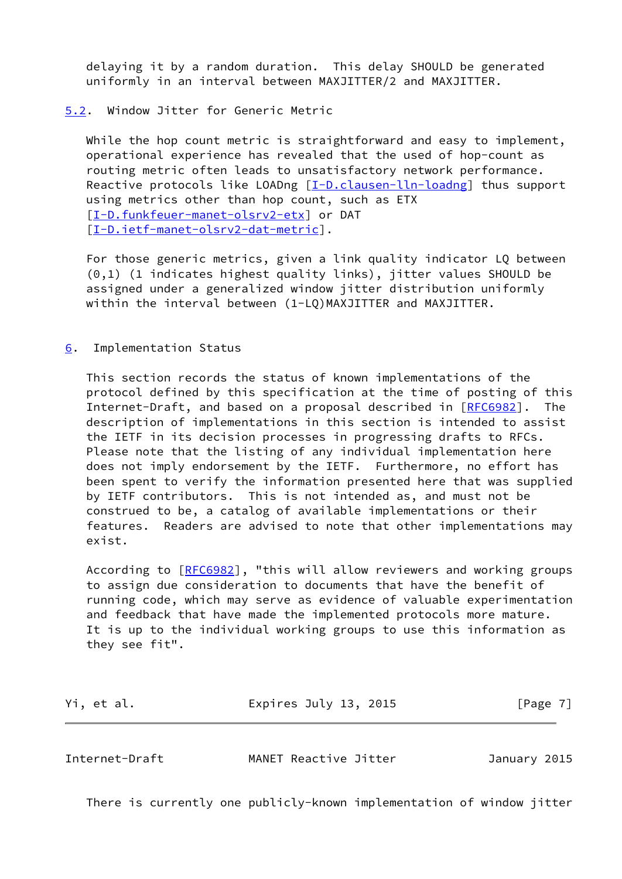delaying it by a random duration. This delay SHOULD be generated uniformly in an interval between MAXJITTER/2 and MAXJITTER.

## <span id="page-7-0"></span>[5.2](#page-7-0). Window Jitter for Generic Metric

While the hop count metric is straightforward and easy to implement, operational experience has revealed that the used of hop-count as routing metric often leads to unsatisfactory network performance. Reactive protocols like LOADng [\[I-D.clausen-lln-loadng](#page-8-5)] thus support using metrics other than hop count, such as ETX [\[I-D.funkfeuer-manet-olsrv2-etx](#page-8-6)] or DAT [\[I-D.ietf-manet-olsrv2-dat-metric](#page-9-2)].

 For those generic metrics, given a link quality indicator LQ between (0,1) (1 indicates highest quality links), jitter values SHOULD be assigned under a generalized window jitter distribution uniformly within the interval between (1-LQ)MAXJITTER and MAXJITTER.

<span id="page-7-1"></span>[6](#page-7-1). Implementation Status

 This section records the status of known implementations of the protocol defined by this specification at the time of posting of this Internet-Draft, and based on a proposal described in [\[RFC6982](https://datatracker.ietf.org/doc/pdf/rfc6982)]. The description of implementations in this section is intended to assist the IETF in its decision processes in progressing drafts to RFCs. Please note that the listing of any individual implementation here does not imply endorsement by the IETF. Furthermore, no effort has been spent to verify the information presented here that was supplied by IETF contributors. This is not intended as, and must not be construed to be, a catalog of available implementations or their features. Readers are advised to note that other implementations may exist.

 According to [\[RFC6982](https://datatracker.ietf.org/doc/pdf/rfc6982)], "this will allow reviewers and working groups to assign due consideration to documents that have the benefit of running code, which may serve as evidence of valuable experimentation and feedback that have made the implemented protocols more mature. It is up to the individual working groups to use this information as they see fit".

| Yi, et al. | Expires July 13, 2015 | [Page 7] |
|------------|-----------------------|----------|
|            |                       |          |

<span id="page-7-2"></span>Internet-Draft MANET Reactive Jitter January 2015

There is currently one publicly-known implementation of window jitter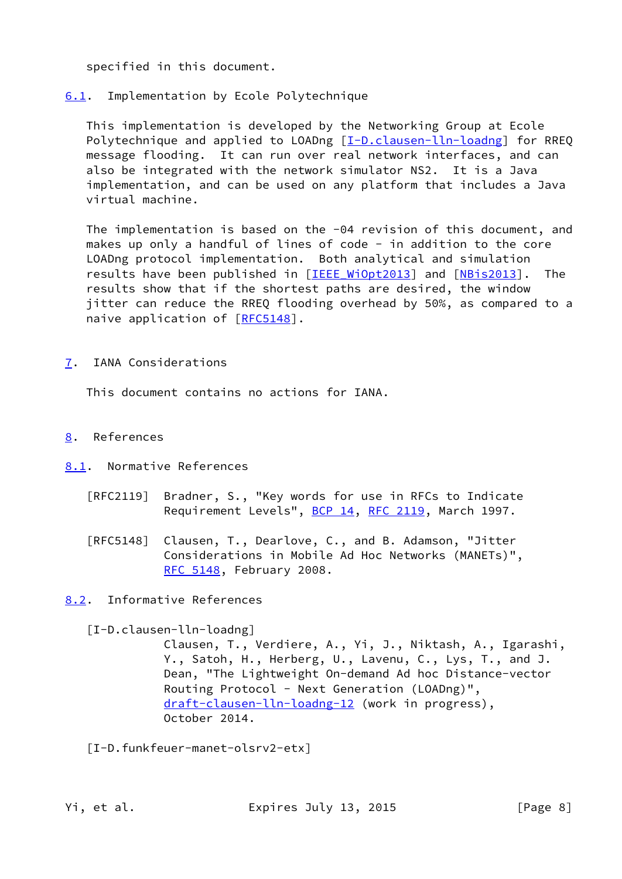specified in this document.

<span id="page-8-0"></span>[6.1](#page-8-0). Implementation by Ecole Polytechnique

 This implementation is developed by the Networking Group at Ecole Polytechnique and applied to LOADng [\[I-D.clausen-lln-loadng](#page-8-5)] for RREQ message flooding. It can run over real network interfaces, and can also be integrated with the network simulator NS2. It is a Java implementation, and can be used on any platform that includes a Java virtual machine.

 The implementation is based on the -04 revision of this document, and makes up only a handful of lines of code - in addition to the core LOADng protocol implementation. Both analytical and simulation results have been published in [IEEE WiOpt2013] and [\[NBis2013](#page-9-1)]. The results show that if the shortest paths are desired, the window jitter can reduce the RREQ flooding overhead by 50%, as compared to a naive application of [\[RFC5148](https://datatracker.ietf.org/doc/pdf/rfc5148)].

<span id="page-8-1"></span>[7](#page-8-1). IANA Considerations

This document contains no actions for IANA.

- <span id="page-8-2"></span>[8](#page-8-2). References
- <span id="page-8-3"></span>[8.1](#page-8-3). Normative References
	- [RFC2119] Bradner, S., "Key words for use in RFCs to Indicate Requirement Levels", [BCP 14](https://datatracker.ietf.org/doc/pdf/bcp14), [RFC 2119](https://datatracker.ietf.org/doc/pdf/rfc2119), March 1997.
	- [RFC5148] Clausen, T., Dearlove, C., and B. Adamson, "Jitter Considerations in Mobile Ad Hoc Networks (MANETs)", [RFC 5148,](https://datatracker.ietf.org/doc/pdf/rfc5148) February 2008.
- <span id="page-8-4"></span>[8.2](#page-8-4). Informative References

<span id="page-8-5"></span>[I-D.clausen-lln-loadng]

 Clausen, T., Verdiere, A., Yi, J., Niktash, A., Igarashi, Y., Satoh, H., Herberg, U., Lavenu, C., Lys, T., and J. Dean, "The Lightweight On-demand Ad hoc Distance-vector Routing Protocol - Next Generation (LOADng)", [draft-clausen-lln-loadng-12](https://datatracker.ietf.org/doc/pdf/draft-clausen-lln-loadng-12) (work in progress), October 2014.

<span id="page-8-6"></span>[I-D.funkfeuer-manet-olsrv2-etx]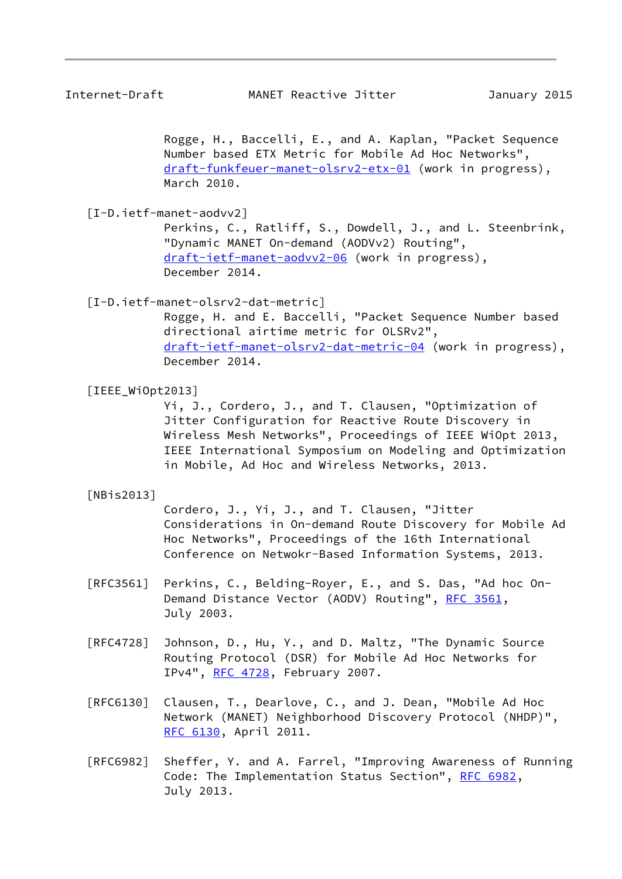Rogge, H., Baccelli, E., and A. Kaplan, "Packet Sequence Number based ETX Metric for Mobile Ad Hoc Networks", [draft-funkfeuer-manet-olsrv2-etx-01](https://datatracker.ietf.org/doc/pdf/draft-funkfeuer-manet-olsrv2-etx-01) (work in progress), March 2010.

<span id="page-9-0"></span>[I-D.ietf-manet-aodvv2]

 Perkins, C., Ratliff, S., Dowdell, J., and L. Steenbrink, "Dynamic MANET On-demand (AODVv2) Routing", [draft-ietf-manet-aodvv2-06](https://datatracker.ietf.org/doc/pdf/draft-ietf-manet-aodvv2-06) (work in progress), December 2014.

<span id="page-9-2"></span>[I-D.ietf-manet-olsrv2-dat-metric]

 Rogge, H. and E. Baccelli, "Packet Sequence Number based directional airtime metric for OLSRv2", [draft-ietf-manet-olsrv2-dat-metric-04](https://datatracker.ietf.org/doc/pdf/draft-ietf-manet-olsrv2-dat-metric-04) (work in progress), December 2014.

<span id="page-9-3"></span>[IEEE\_WiOpt2013]

 Yi, J., Cordero, J., and T. Clausen, "Optimization of Jitter Configuration for Reactive Route Discovery in Wireless Mesh Networks", Proceedings of IEEE WiOpt 2013, IEEE International Symposium on Modeling and Optimization in Mobile, Ad Hoc and Wireless Networks, 2013.

<span id="page-9-1"></span>[NBis2013]

 Cordero, J., Yi, J., and T. Clausen, "Jitter Considerations in On-demand Route Discovery for Mobile Ad Hoc Networks", Proceedings of the 16th International Conference on Netwokr-Based Information Systems, 2013.

- [RFC3561] Perkins, C., Belding-Royer, E., and S. Das, "Ad hoc On- Demand Distance Vector (AODV) Routing", [RFC 3561,](https://datatracker.ietf.org/doc/pdf/rfc3561) July 2003.
- [RFC4728] Johnson, D., Hu, Y., and D. Maltz, "The Dynamic Source Routing Protocol (DSR) for Mobile Ad Hoc Networks for IPv4", [RFC 4728](https://datatracker.ietf.org/doc/pdf/rfc4728), February 2007.
- [RFC6130] Clausen, T., Dearlove, C., and J. Dean, "Mobile Ad Hoc Network (MANET) Neighborhood Discovery Protocol (NHDP)", [RFC 6130,](https://datatracker.ietf.org/doc/pdf/rfc6130) April 2011.
- [RFC6982] Sheffer, Y. and A. Farrel, "Improving Awareness of Running Code: The Implementation Status Section", [RFC 6982](https://datatracker.ietf.org/doc/pdf/rfc6982), July 2013.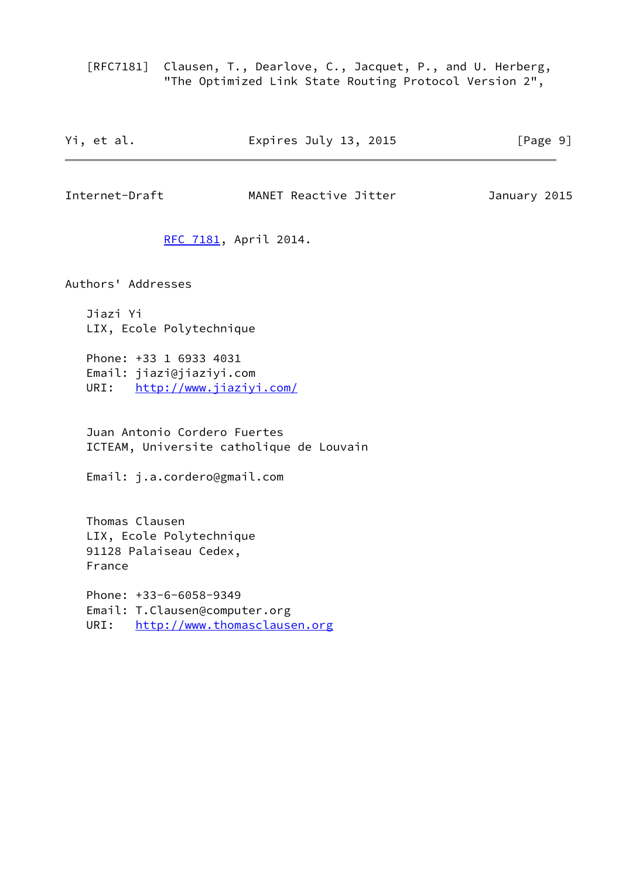[RFC7181] Clausen, T., Dearlove, C., Jacquet, P., and U. Herberg, "The Optimized Link State Routing Protocol Version 2",

| Expires July 13, 2015<br>Yi, et al. | [Page 9] |
|-------------------------------------|----------|
|-------------------------------------|----------|

<span id="page-10-0"></span>Internet-Draft MANET Reactive Jitter January 2015

[RFC 7181,](https://datatracker.ietf.org/doc/pdf/rfc7181) April 2014.

Authors' Addresses

 Jiazi Yi LIX, Ecole Polytechnique

 Phone: +33 1 6933 4031 Email: jiazi@jiaziyi.com URI: <http://www.jiaziyi.com/>

 Juan Antonio Cordero Fuertes ICTEAM, Universite catholique de Louvain

Email: j.a.cordero@gmail.com

 Thomas Clausen LIX, Ecole Polytechnique 91128 Palaiseau Cedex, France

 Phone: +33-6-6058-9349 Email: T.Clausen@computer.org URI: <http://www.thomasclausen.org>